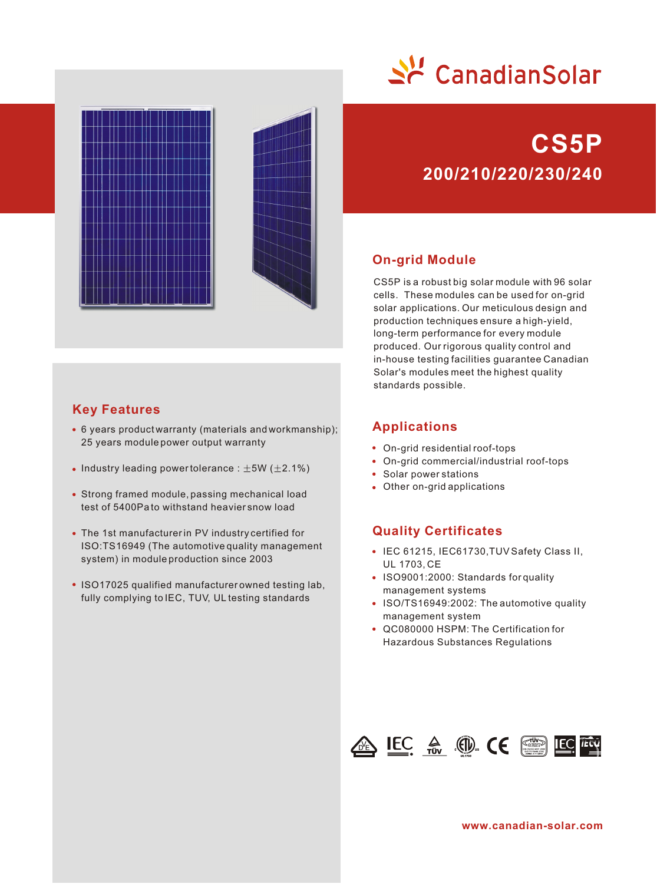



## **Key Features**

- 6 years product warranty (materials and workmanship); 25 years module power output warranty
- Industry leading power tolerance :  $\pm 5W$  ( $\pm 2.1\%$ )
- Strong framed module, passing mechanical load test of 5400Pa to withstand heavier snow load
- The 1st manufacturer in PV industry certified for ISO:TS16949 (The automotive quality management system) in module production since 2003
- ISO17025 qualified manufacturer owned testing lab, fully complying to IEC, TUV, UL testing standards

# **200/210/220/230/240 CS5P**

## **On-grid Module**

CS5P is a robust big solar module with 96 solar cells. These modules can be used for on-grid solar applications. Our meticulous design and production techniques ensure a high-yield, long-term performance for every module produced. Our rigorous quality control and in-house testing facilities guarantee Canadian Solar's modules meet the highest quality standards possible.

## **Applications**

- On-grid residential roof-tops
- On-grid commercial/industrial roof-tops
- Solar power stations
- Other on-grid applications

## **Quality Certificates**

- IEC 61215, IEC61730, TUV Safety Class II, UL 1703, CE
- ISO9001:2000: Standards for quality management systems
- ISO/TS16949:2002: The automotive quality management system
- QC080000 HSPM: The Certification for Hazardous Substances Regulations



**www.canadian-solar.com**